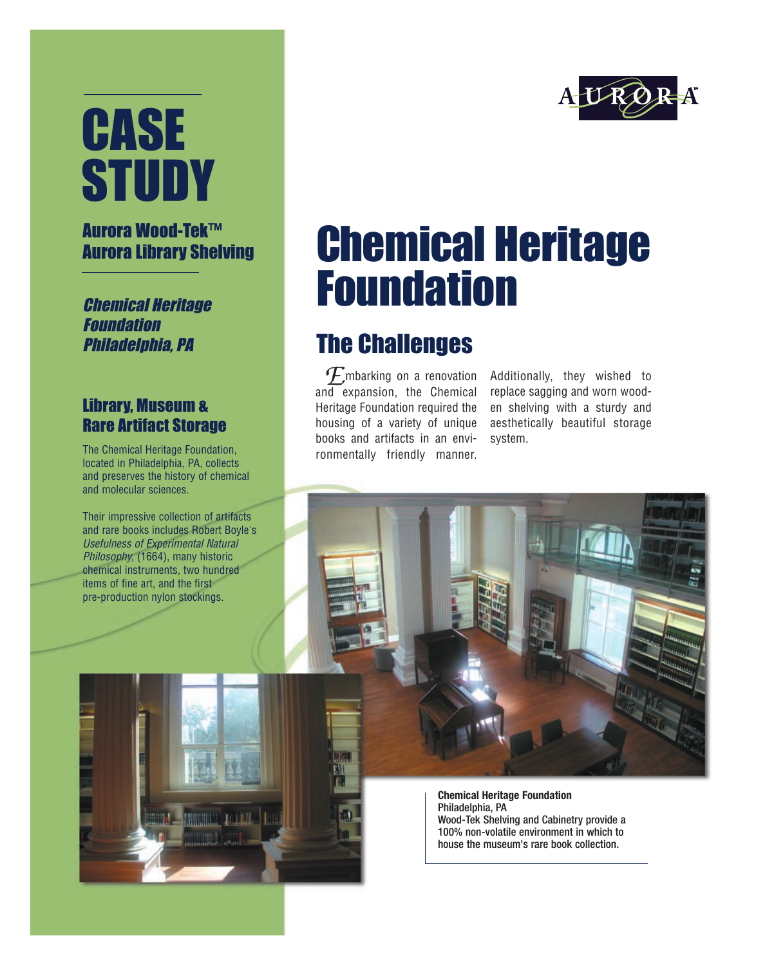# **CASE STUDY**

#### Aurora Wood-Tek™ Aurora Library Shelving

Chemical Heritage Foundation Philadelphia, PA

#### Library, Museum & Rare Artifact Storage

The Chemical Heritage Foundation, located in Philadelphia, PA, collects and preserves the history of chemical and molecular sciences.

Their impressive collection of artifacts and rare books includes Robert Boyle's Usefulness of Experimental Natural Philosophy, (1664), many historic chemical instruments, two hundred items of fine art, and the first pre-production nylon stockings.

### Chemical Heritage Foundation

### The Challenges

**E** mbarking on a renovation<br>ad expansion the Chemical and expansion, the Chemical Heritage Foundation required the housing of a variety of unique books and artifacts in an environmentally friendly manner.

Additionally, they wished to replace sagging and worn wooden shelving with a sturdy and aesthetically beautiful storage system.

**Chemical Heritage Foundation** Philadelphia, PA Wood-Tek Shelving and Cabinetry provide a 100% non-volatile environment in which to house the museum's rare book collection.